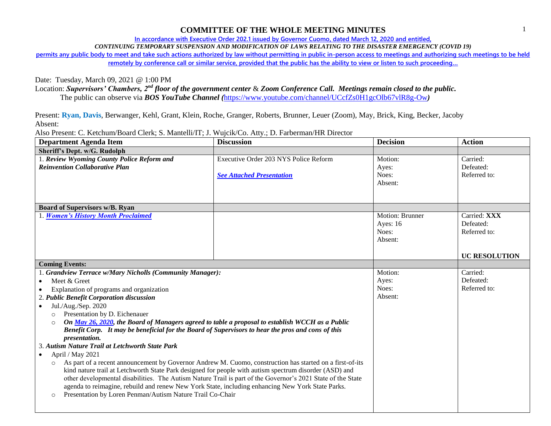## **COMMITTEE OF THE WHOLE MEETING MINUTES**

**In accordance with Executive Order 202.1 issued by Governor Cuomo, dated March 12, 2020 and entitled,**

*CONTINUING TEMPORARY SUSPENSION AND MODIFICATION OF LAWS RELATING TO THE DISASTER EMERGENCY (COVID 19)*

**permits any public body to meet and take such actions authorized by law without permitting in public in-person access to meetings and authorizing such meetings to be held remotely by conference call or similar service, provided that the public has the ability to view or listen to such proceeding…**

Date: Tuesday, March 09, 2021 @ 1:00 PM

Location: *Supervisors' Chambers, 2nd floor of the government center* & *Zoom Conference Call. Meetings remain closed to the public.*

The public can observe via *BOS YouTube Channel (*<https://www.youtube.com/channel/UCcfZs0H1gcOlb67vlR8g-Ow>*)*

Present: **Ryan, Davis**, Berwanger, Kehl, Grant, Klein, Roche, Granger, Roberts, Brunner, Leuer (Zoom), May, Brick, King, Becker, Jacoby Absent:

Also Present: C. Ketchum/Board Clerk; S. Mantelli/IT; J. Wujcik/Co. Atty.; D. Farberman/HR Director

| <b>Department Agenda Item</b>                                                                                                                                                                                   | <b>Discussion</b>                     | <b>Decision</b>        | <b>Action</b>        |
|-----------------------------------------------------------------------------------------------------------------------------------------------------------------------------------------------------------------|---------------------------------------|------------------------|----------------------|
| Sheriff's Dept. w/G. Rudolph                                                                                                                                                                                    |                                       |                        |                      |
| 1. Review Wyoming County Police Reform and                                                                                                                                                                      | Executive Order 203 NYS Police Reform | Motion:                | Carried:             |
| <b>Reinvention Collaborative Plan</b>                                                                                                                                                                           |                                       | Ayes:                  | Defeated:            |
|                                                                                                                                                                                                                 | <b>See Attached Presentation</b>      | Noes:                  | Referred to:         |
|                                                                                                                                                                                                                 |                                       | Absent:                |                      |
|                                                                                                                                                                                                                 |                                       |                        |                      |
| <b>Board of Supervisors w/B. Ryan</b>                                                                                                                                                                           |                                       |                        |                      |
| 1. Women's History Month Proclaimed                                                                                                                                                                             |                                       | <b>Motion: Brunner</b> | Carried: XXX         |
|                                                                                                                                                                                                                 |                                       | Ayes: $16$             | Defeated:            |
|                                                                                                                                                                                                                 |                                       | Noes:                  | Referred to:         |
|                                                                                                                                                                                                                 |                                       | Absent:                |                      |
|                                                                                                                                                                                                                 |                                       |                        |                      |
|                                                                                                                                                                                                                 |                                       |                        | <b>UC RESOLUTION</b> |
| <b>Coming Events:</b>                                                                                                                                                                                           |                                       |                        |                      |
| 1. Grandview Terrace w/Mary Nicholls (Community Manager):                                                                                                                                                       |                                       | Motion:                | Carried:             |
| Meet & Greet<br>$\bullet$                                                                                                                                                                                       |                                       | Ayes:                  | Defeated:            |
| Explanation of programs and organization                                                                                                                                                                        |                                       | Noes:                  | Referred to:         |
| 2. Public Benefit Corporation discussion                                                                                                                                                                        |                                       | Absent:                |                      |
| Jul./Aug./Sep. 2020<br>$\bullet$                                                                                                                                                                                |                                       |                        |                      |
| Presentation by D. Eichenauer<br>$\Omega$                                                                                                                                                                       |                                       |                        |                      |
| On May 26, 2020, the Board of Managers agreed to table a proposal to establish WCCH as a Public<br>$\circ$<br>Benefit Corp. It may be beneficial for the Board of Supervisors to hear the pros and cons of this |                                       |                        |                      |
| <i>presentation.</i>                                                                                                                                                                                            |                                       |                        |                      |
| 3. Autism Nature Trail at Letchworth State Park                                                                                                                                                                 |                                       |                        |                      |
| April / May 2021<br>$\bullet$                                                                                                                                                                                   |                                       |                        |                      |
| As part of a recent announcement by Governor Andrew M. Cuomo, construction has started on a first-of-its<br>$\circ$                                                                                             |                                       |                        |                      |
| kind nature trail at Letchworth State Park designed for people with autism spectrum disorder (ASD) and                                                                                                          |                                       |                        |                      |
| other developmental disabilities. The Autism Nature Trail is part of the Governor's 2021 State of the State                                                                                                     |                                       |                        |                      |
| agenda to reimagine, rebuild and renew New York State, including enhancing New York State Parks.                                                                                                                |                                       |                        |                      |
| Presentation by Loren Penman/Autism Nature Trail Co-Chair<br>$\circ$                                                                                                                                            |                                       |                        |                      |
|                                                                                                                                                                                                                 |                                       |                        |                      |